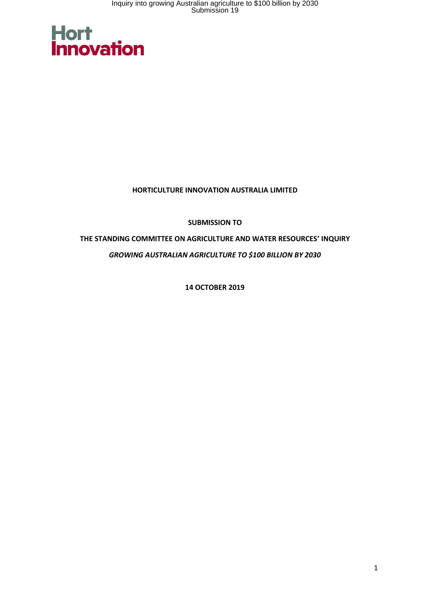

#### **HORTICULTURE INNOVATION AUSTRALIA LIMITED**

**SUBMISSION TO**

**THE STANDING COMMITTEE ON AGRICULTURE AND WATER RESOURCES' INQUIRY**  *GROWING AUSTRALIAN AGRICULTURE TO \$100 BILLION BY 2030*

**14 OCTOBER 2019**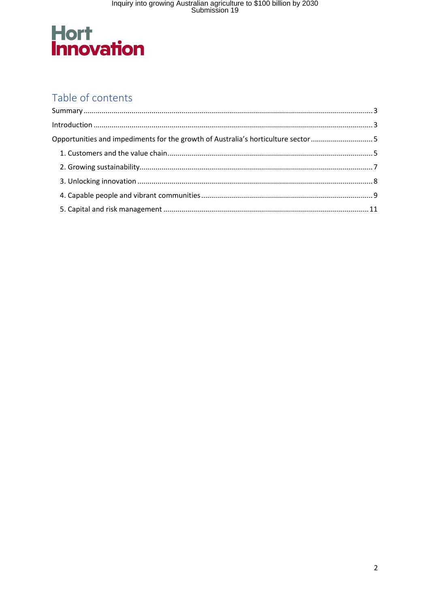# **Hort<br>Innovation**

## Table of contents

| Opportunities and impediments for the growth of Australia's horticulture sector5 |  |
|----------------------------------------------------------------------------------|--|
|                                                                                  |  |
|                                                                                  |  |
|                                                                                  |  |
|                                                                                  |  |
|                                                                                  |  |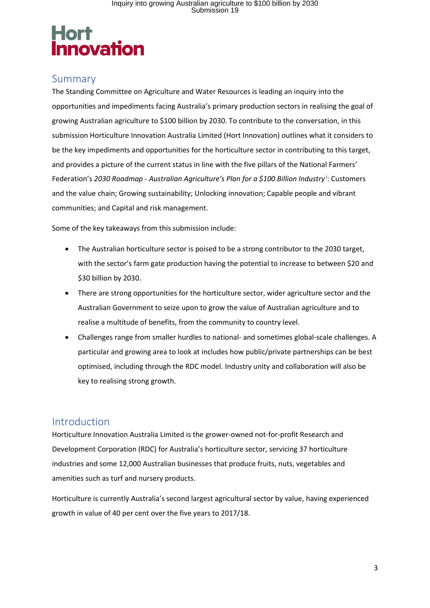### Summary

The Standing Committee on Agriculture and Water Resources is leading an inquiry into the opportunities and impediments facing Australia's primary production sectors in realising the goal of growing Australian agriculture to \$100 billion by 2030. To contribute to the conversation, in this submission Horticulture Innovation Australia Limited (Hort Innovation) outlines what it considers to be the key impediments and opportunities for the horticulture sector in contributing to this target, and provides a picture of the current status in line with the five pillars of the National Farmers' Federation's 2030 Roadmap - Australian Agriculture's Plan for a \$100 Billion Industry<sup>i</sup>: Customers and the value chain; Growing sustainability; Unlocking innovation; Capable people and vibrant communities; and Capital and risk management.

Some of the key takeaways from this submission include:

- The Australian horticulture sector is poised to be a strong contributor to the 2030 target, with the sector's farm gate production having the potential to increase to between \$20 and \$30 billion by 2030.
- There are strong opportunities for the horticulture sector, wider agriculture sector and the Australian Government to seize upon to grow the value of Australian agriculture and to realise a multitude of benefits, from the community to country level.
- Challenges range from smaller hurdles to national- and sometimes global-scale challenges. A particular and growing area to look at includes how public/private partnerships can be best optimised, including through the RDC model. Industry unity and collaboration will also be key to realising strong growth.

### Introduction

Horticulture Innovation Australia Limited is the grower-owned not-for-profit Research and Development Corporation (RDC) for Australia's horticulture sector, servicing 37 horticulture industries and some 12,000 Australian businesses that produce fruits, nuts, vegetables and amenities such as turf and nursery products.

Horticulture is currently Australia's second largest agricultural sector by value, having experienced growth in value of 40 per cent over the five years to 2017/18.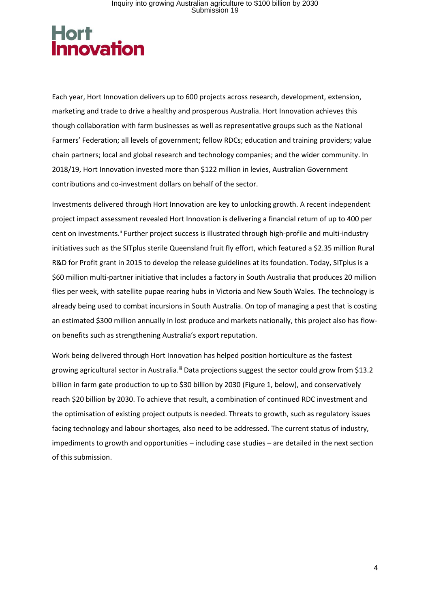Each year, Hort Innovation delivers up to 600 projects across research, development, extension, marketing and trade to drive a healthy and prosperous Australia. Hort Innovation achieves this though collaboration with farm businesses as well as representative groups such as the National Farmers' Federation; all levels of government; fellow RDCs; education and training providers; value chain partners; local and global research and technology companies; and the wider community. In 2018/19, Hort Innovation invested more than \$122 million in levies, Australian Government contributions and co-investment dollars on behalf of the sector.

Investments delivered through Hort Innovation are key to unlocking growth. A recent independent project impact assessment revealed Hort Innovation is delivering a financial return of up to 400 per cent on investments.<sup>ii</sup> Further project success is illustrated through high-profile and multi-industry initiatives such as the SITplus sterile Queensland fruit fly effort, which featured a \$2.35 million Rural R&D for Profit grant in 2015 to develop the release guidelines at its foundation. Today, SITplus is a \$60 million multi-partner initiative that includes a factory in South Australia that produces 20 million flies per week, with satellite pupae rearing hubs in Victoria and New South Wales. The technology is already being used to combat incursions in South Australia. On top of managing a pest that is costing an estimated \$300 million annually in lost produce and markets nationally, this project also has flowon benefits such as strengthening Australia's export reputation.

Work being delivered through Hort Innovation has helped position horticulture as the fastest growing agricultural sector in Australia.<sup>ii</sup> Data projections suggest the sector could grow from \$13.2 billion in farm gate production to up to \$30 billion by 2030 (Figure 1, below), and conservatively reach \$20 billion by 2030. To achieve that result, a combination of continued RDC investment and the optimisation of existing project outputs is needed. Threats to growth, such as regulatory issues facing technology and labour shortages, also need to be addressed. The current status of industry, impediments to growth and opportunities – including case studies – are detailed in the next section of this submission.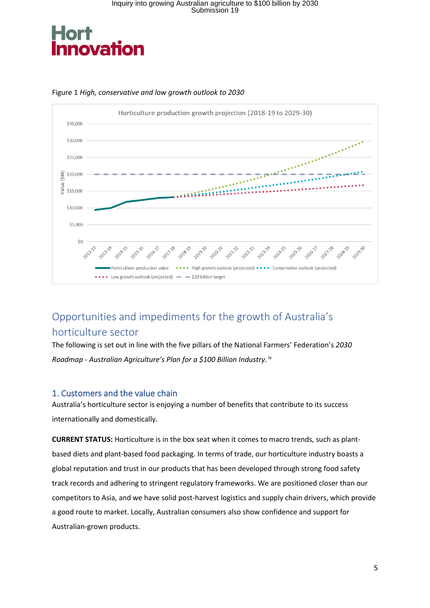



#### Figure 1 *High, conservative and low growth outlook to 2030*

### <span id="page-4-0"></span>Opportunities and impediments for the growth of Australia's horticulture sector

The following is set out in line with the five pillars of the National Farmers' Federation's *2030 Roadmap - Australian Agriculture's Plan for a \$100 Billion Industry*. iv

#### <span id="page-4-1"></span>1. Customers and the value chain

Australia's horticulture sector is enjoying a number of benefits that contribute to its success internationally and domestically.

**CURRENT STATUS:** Horticulture is in the box seat when it comes to macro trends, such as plantbased diets and plant-based food packaging. In terms of trade, our horticulture industry boasts a global reputation and trust in our products that has been developed through strong food safety track records and adhering to stringent regulatory frameworks. We are positioned closer than our competitors to Asia, and we have solid post-harvest logistics and supply chain drivers, which provide a good route to market. Locally, Australian consumers also show confidence and support for Australian-grown products.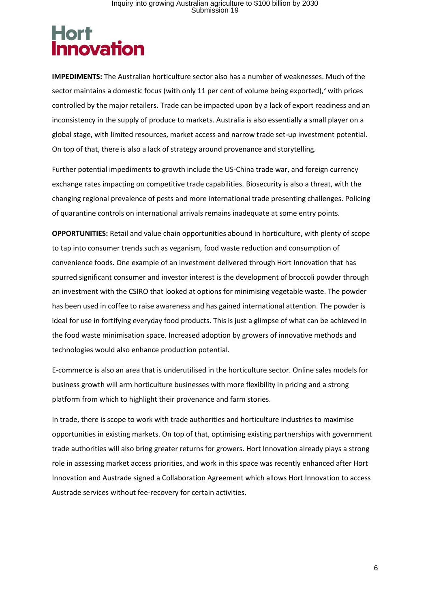## **Hort inovation**

**IMPEDIMENTS:** The Australian horticulture sector also has a number of weaknesses. Much of the sector maintains a domestic focus (with only 11 per cent of volume being exported),<sup>v</sup> with prices controlled by the major retailers. Trade can be impacted upon by a lack of export readiness and an inconsistency in the supply of produce to markets. Australia is also essentially a small player on a global stage, with limited resources, market access and narrow trade set-up investment potential. On top of that, there is also a lack of strategy around provenance and storytelling.

Further potential impediments to growth include the US-China trade war, and foreign currency exchange rates impacting on competitive trade capabilities. Biosecurity is also a threat, with the changing regional prevalence of pests and more international trade presenting challenges. Policing of quarantine controls on international arrivals remains inadequate at some entry points.

**OPPORTUNITIES:** Retail and value chain opportunities abound in horticulture, with plenty of scope to tap into consumer trends such as veganism, food waste reduction and consumption of convenience foods. One example of an investment delivered through Hort Innovation that has spurred significant consumer and investor interest is the development of broccoli powder through an investment with the CSIRO that looked at options for minimising vegetable waste. The powder has been used in coffee to raise awareness and has gained international attention. The powder is ideal for use in fortifying everyday food products. This is just a glimpse of what can be achieved in the food waste minimisation space. Increased adoption by growers of innovative methods and technologies would also enhance production potential.

E-commerce is also an area that is underutilised in the horticulture sector. Online sales models for business growth will arm horticulture businesses with more flexibility in pricing and a strong platform from which to highlight their provenance and farm stories.

<span id="page-5-0"></span>In trade, there is scope to work with trade authorities and horticulture industries to maximise opportunities in existing markets. On top of that, optimising existing partnerships with government trade authorities will also bring greater returns for growers. Hort Innovation already plays a strong role in assessing market access priorities, and work in this space was recently enhanced after Hort Innovation and Austrade signed a Collaboration Agreement which allows Hort Innovation to access Austrade services without fee-recovery for certain activities.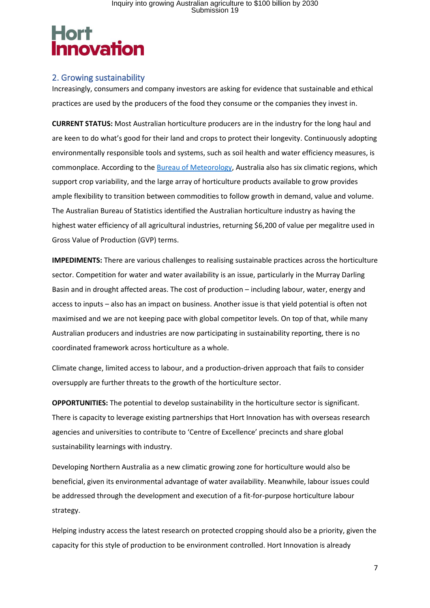#### 2. Growing sustainability

Increasingly, consumers and company investors are asking for evidence that sustainable and ethical practices are used by the producers of the food they consume or the companies they invest in.

<span id="page-6-0"></span>**CURRENT STATUS:** Most Australian horticulture producers are in the industry for the long haul and are keen to do what's good for their land and crops to protect their longevity. Continuously adopting environmentally responsible tools and systems, such as soil health and water efficiency measures, is commonplace. According to the [Bureau of Meteorology,](http://www.bom.gov.au/climate/how/newproducts/images/zones.shtml) Australia also has six climatic regions, which support crop variability, and the large array of horticulture products available to grow provides ample flexibility to transition between commodities to follow growth in demand, value and volume. The Australian Bureau of Statistics identified the Australian horticulture industry as having the highest water efficiency of all agricultural industries, returning \$6,200 of value per megalitre used in Gross Value of Production (GVP) terms.

**IMPEDIMENTS:** There are various challenges to realising sustainable practices across the horticulture sector. Competition for water and water availability is an issue, particularly in the Murray Darling Basin and in drought affected areas. The cost of production – including labour, water, energy and access to inputs – also has an impact on business. Another issue is that yield potential is often not maximised and we are not keeping pace with global competitor levels. On top of that, while many Australian producers and industries are now participating in sustainability reporting, there is no coordinated framework across horticulture as a whole.

Climate change, limited access to labour, and a production-driven approach that fails to consider oversupply are further threats to the growth of the horticulture sector.

**OPPORTUNITIES:** The potential to develop sustainability in the horticulture sector is significant. There is capacity to leverage existing partnerships that Hort Innovation has with overseas research agencies and universities to contribute to 'Centre of Excellence' precincts and share global sustainability learnings with industry.

Developing Northern Australia as a new climatic growing zone for horticulture would also be beneficial, given its environmental advantage of water availability. Meanwhile, labour issues could be addressed through the development and execution of a fit-for-purpose horticulture labour strategy.

Helping industry access the latest research on protected cropping should also be a priority, given the capacity for this style of production to be environment controlled. Hort Innovation is already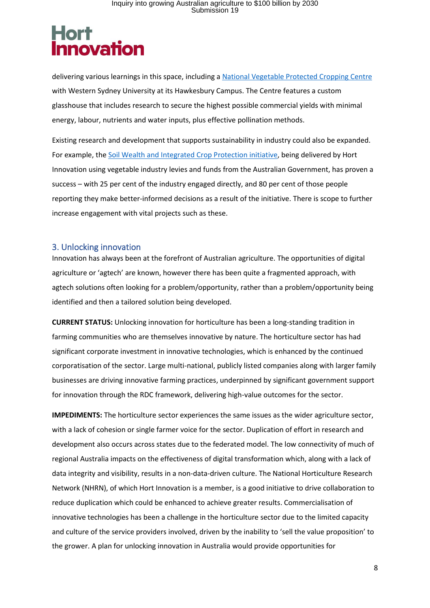## **Hort inovation**

delivering various learnings in this space, including [a National Vegetable Protected Cropping Centre](https://www.westernsydney.edu.au/nvpcc) with Western Sydney University at its Hawkesbury Campus. The Centre features a custom glasshouse that includes research to secure the highest possible commercial yields with minimal energy, labour, nutrients and water inputs, plus effective pollination methods.

Existing research and development that supports sustainability in industry could also be expanded. For example, the Soil Wealth [and Integrated Crop Protection](https://www.soilwealth.com.au/) initiative, being delivered by Hort Innovation using vegetable industry levies and funds from the Australian Government, has proven a success – with 25 per cent of the industry engaged directly, and 80 per cent of those people reporting they make better-informed decisions as a result of the initiative. There is scope to further increase engagement with vital projects such as these.

#### 3. Unlocking innovation

Innovation has always been at the forefront of Australian agriculture. The opportunities of digital agriculture or 'agtech' are known, however there has been quite a fragmented approach, with agtech solutions often looking for a problem/opportunity, rather than a problem/opportunity being identified and then a tailored solution being developed.

**CURRENT STATUS:** Unlocking innovation for horticulture has been a long-standing tradition in farming communities who are themselves innovative by nature. The horticulture sector has had significant corporate investment in innovative technologies, which is enhanced by the continued corporatisation of the sector. Large multi-national, publicly listed companies along with larger family businesses are driving innovative farming practices, underpinned by significant government support for innovation through the RDC framework, delivering high-value outcomes for the sector.

**IMPEDIMENTS:** The horticulture sector experiences the same issues as the wider agriculture sector, with a lack of cohesion or single farmer voice for the sector. Duplication of effort in research and development also occurs across states due to the federated model. The low connectivity of much of regional Australia impacts on the effectiveness of digital transformation which, along with a lack of data integrity and visibility, results in a non-data-driven culture. The National Horticulture Research Network (NHRN), of which Hort Innovation is a member, is a good initiative to drive collaboration to reduce duplication which could be enhanced to achieve greater results. Commercialisation of innovative technologies has been a challenge in the horticulture sector due to the limited capacity and culture of the service providers involved, driven by the inability to 'sell the value proposition' to the grower. A plan for unlocking innovation in Australia would provide opportunities for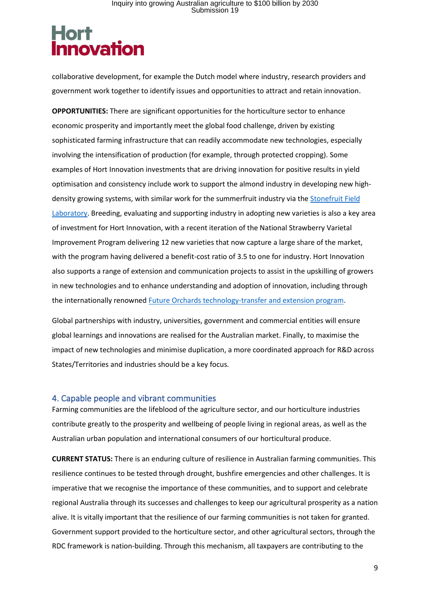# **Hort<br>Innovation**

collaborative development, for example the Dutch model where industry, research providers and government work together to identify issues and opportunities to attract and retain innovation.

**OPPORTUNITIES:** There are significant opportunities for the horticulture sector to enhance economic prosperity and importantly meet the global food challenge, driven by existing sophisticated farming infrastructure that can readily accommodate new technologies, especially involving the intensification of production (for example, through protected cropping). Some examples of Hort Innovation investments that are driving innovation for positive results in yield optimisation and consistency include work to support the almond industry in developing new highdensity growing systems, with similar work for the summerfruit industry via th[e Stonefruit Field](http://www.hin.com.au/networks/profitable-stonefruit-research/stonefruit-research-orchard-and-equipment)  [Laboratory.](http://www.hin.com.au/networks/profitable-stonefruit-research/stonefruit-research-orchard-and-equipment) Breeding, evaluating and supporting industry in adopting new varieties is also a key area of investment for Hort Innovation, with a recent iteration of the National Strawberry Varietal Improvement Program delivering 12 new varieties that now capture a large share of the market, with the program having delivered a benefit-cost ratio of 3.5 to one for industry. Hort Innovation also supports a range of extension and communication projects to assist in the upskilling of growers in new technologies and to enhance understanding and adoption of innovation, including through the internationally renowne[d Future Orchards technology-transfer and extension program.](https://www.horticulture.com.au/growers/help-your-business-grow/research-reports-publications-fact-sheets-and-more/ap15004-and-ap15005/)

Global partnerships with industry, universities, government and commercial entities will ensure global learnings and innovations are realised for the Australian market. Finally, to maximise the impact of new technologies and minimise duplication, a more coordinated approach for R&D across States/Territories and industries should be a key focus.

#### <span id="page-8-0"></span>4. Capable people and vibrant communities

Farming communities are the lifeblood of the agriculture sector, and our horticulture industries contribute greatly to the prosperity and wellbeing of people living in regional areas, as well as the Australian urban population and international consumers of our horticultural produce.

**CURRENT STATUS:** There is an enduring culture of resilience in Australian farming communities. This resilience continues to be tested through drought, bushfire emergencies and other challenges. It is imperative that we recognise the importance of these communities, and to support and celebrate regional Australia through its successes and challenges to keep our agricultural prosperity as a nation alive. It is vitally important that the resilience of our farming communities is not taken for granted. Government support provided to the horticulture sector, and other agricultural sectors, through the RDC framework is nation-building. Through this mechanism, all taxpayers are contributing to the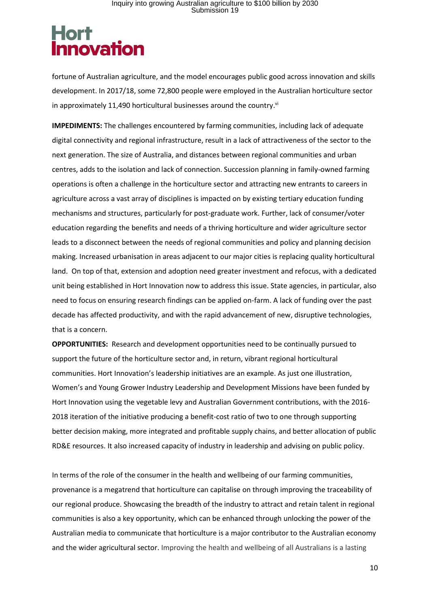## **Hort inovation**

fortune of Australian agriculture, and the model encourages public good across innovation and skills development. In 2017/18, some 72,800 people were employed in the Australian horticulture sector in approximately 11,490 horticultural businesses around the country.<sup>vi</sup>

**IMPEDIMENTS:** The challenges encountered by farming communities, including lack of adequate digital connectivity and regional infrastructure, result in a lack of attractiveness of the sector to the next generation. The size of Australia, and distances between regional communities and urban centres, adds to the isolation and lack of connection. Succession planning in family-owned farming operations is often a challenge in the horticulture sector and attracting new entrants to careers in agriculture across a vast array of disciplines is impacted on by existing tertiary education funding mechanisms and structures, particularly for post-graduate work. Further, lack of consumer/voter education regarding the benefits and needs of a thriving horticulture and wider agriculture sector leads to a disconnect between the needs of regional communities and policy and planning decision making. Increased urbanisation in areas adjacent to our major cities is replacing quality horticultural land. On top of that, extension and adoption need greater investment and refocus, with a dedicated unit being established in Hort Innovation now to address this issue. State agencies, in particular, also need to focus on ensuring research findings can be applied on-farm. A lack of funding over the past decade has affected productivity, and with the rapid advancement of new, disruptive technologies, that is a concern.

**OPPORTUNITIES:** Research and development opportunities need to be continually pursued to support the future of the horticulture sector and, in return, vibrant regional horticultural communities. Hort Innovation's leadership initiatives are an example. As just one illustration, Women's and Young Grower Industry Leadership and Development Missions have been funded by Hort Innovation using the vegetable levy and Australian Government contributions, with the 2016- 2018 iteration of the initiative producing a benefit-cost ratio of two to one through supporting better decision making, more integrated and profitable supply chains, and better allocation of public RD&E resources. It also increased capacity of industry in leadership and advising on public policy.

In terms of the role of the consumer in the health and wellbeing of our farming communities, provenance is a megatrend that horticulture can capitalise on through improving the traceability of our regional produce. Showcasing the breadth of the industry to attract and retain talent in regional communities is also a key opportunity, which can be enhanced through unlocking the power of the Australian media to communicate that horticulture is a major contributor to the Australian economy and the wider agricultural sector. Improving the health and wellbeing of all Australians is a lasting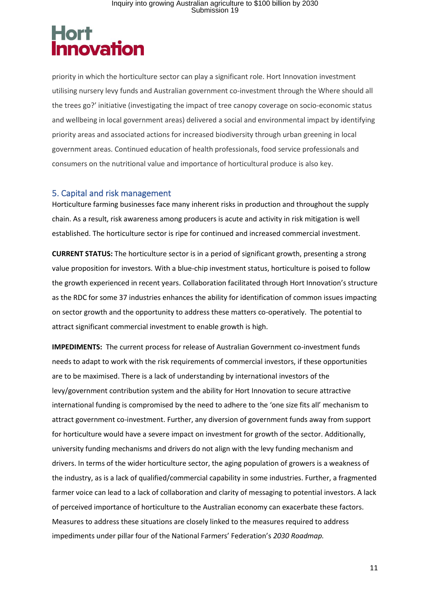# **Hort<br>Innovation**

priority in which the horticulture sector can play a significant role. Hort Innovation investment utilising nursery levy funds and Australian government co-investment through the Where should all the trees go?' initiative (investigating the impact of tree canopy coverage on socio-economic status and wellbeing in local government areas) delivered a social and environmental impact by identifying priority areas and associated actions for increased biodiversity through urban greening in local government areas. Continued education of health professionals, food service professionals and consumers on the nutritional value and importance of horticultural produce is also key.

#### 5. Capital and risk management

Horticulture farming businesses face many inherent risks in production and throughout the supply chain. As a result, risk awareness among producers is acute and activity in risk mitigation is well established. The horticulture sector is ripe for continued and increased commercial investment.

**CURRENT STATUS:** The horticulture sector is in a period of significant growth, presenting a strong value proposition for investors. With a blue-chip investment status, horticulture is poised to follow the growth experienced in recent years. Collaboration facilitated through Hort Innovation's structure as the RDC for some 37 industries enhances the ability for identification of common issues impacting on sector growth and the opportunity to address these matters co-operatively. The potential to attract significant commercial investment to enable growth is high.

**IMPEDIMENTS:** The current process for release of Australian Government co-investment funds needs to adapt to work with the risk requirements of commercial investors, if these opportunities are to be maximised. There is a lack of understanding by international investors of the levy/government contribution system and the ability for Hort Innovation to secure attractive international funding is compromised by the need to adhere to the 'one size fits all' mechanism to attract government co-investment. Further, any diversion of government funds away from support for horticulture would have a severe impact on investment for growth of the sector. Additionally, university funding mechanisms and drivers do not align with the levy funding mechanism and drivers. In terms of the wider horticulture sector, the aging population of growers is a weakness of the industry, as is a lack of qualified/commercial capability in some industries. Further, a fragmented farmer voice can lead to a lack of collaboration and clarity of messaging to potential investors. A lack of perceived importance of horticulture to the Australian economy can exacerbate these factors. Measures to address these situations are closely linked to the measures required to address impediments under pillar four of the National Farmers' Federation's *2030 Roadmap.*

11